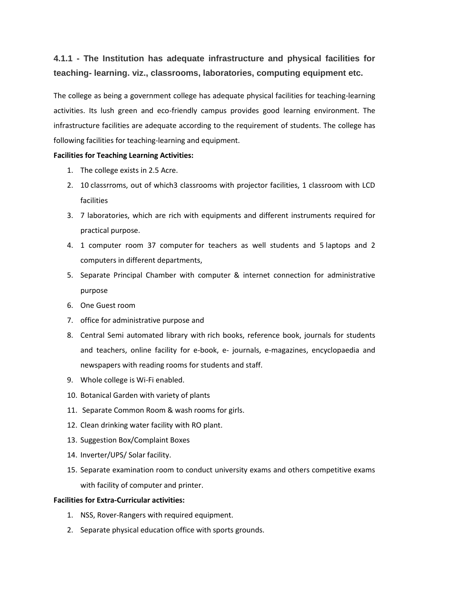## **4.1.1 - The Institution has adequate infrastructure and physical facilities for teaching- learning. viz., classrooms, laboratories, computing equipment etc.**

The college as being a government college has adequate physical facilities for teaching-learning activities. Its lush green and eco-friendly campus provides good learning environment. The infrastructure facilities are adequate according to the requirement of students. The college has following facilities for teaching-learning and equipment.

## **Facilities for Teaching Learning Activities:**

- 1. The college exists in 2.5 Acre.
- 2. 10 classrroms, out of which3 classrooms with projector facilities, 1 classroom with LCD facilities
- 3. 7 laboratories, which are rich with equipments and different instruments required for practical purpose.
- 4. 1 computer room 37 computer for teachers as well students and 5 laptops and 2 computers in different departments,
- 5. Separate Principal Chamber with computer & internet connection for administrative purpose
- 6. One Guest room
- 7. office for administrative purpose and
- 8. Central Semi automated library with rich books, reference book, journals for students and teachers, online facility for e-book, e- journals, e-magazines, encyclopaedia and newspapers with reading rooms for students and staff.
- 9. Whole college is Wi-Fi enabled.
- 10. Botanical Garden with variety of plants
- 11. Separate Common Room & wash rooms for girls.
- 12. Clean drinking water facility with RO plant.
- 13. Suggestion Box/Complaint Boxes
- 14. Inverter/UPS/ Solar facility.
- 15. Separate examination room to conduct university exams and others competitive exams with facility of computer and printer.

## **Facilities for Extra-Curricular activities:**

- 1. NSS, Rover-Rangers with required equipment.
- 2. Separate physical education office with sports grounds.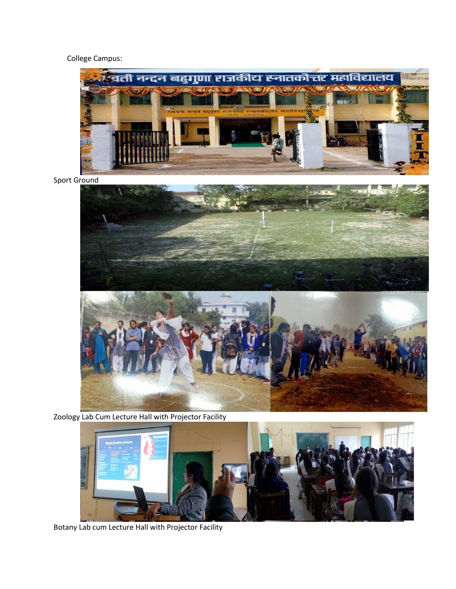## College Campus:



Sport Ground



Zoology Lab Cum Lecture Hall with Projector Facility



Botany Lab cum Lecture Hall with Projector Facility